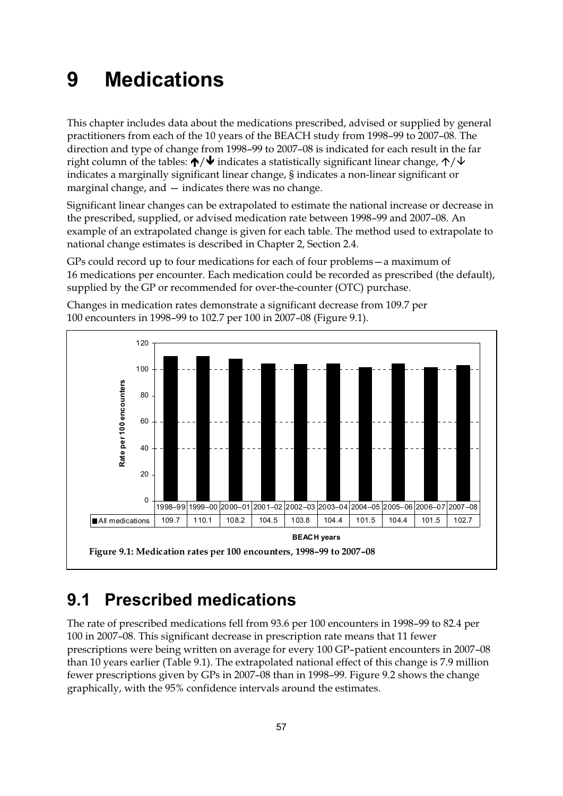# **9 Medications**

This chapter includes data about the medications prescribed, advised or supplied by general practitioners from each of the 10 years of the BEACH study from 1998–99 to 2007–08. The direction and type of change from 1998–99 to 2007–08 is indicated for each result in the far right column of the tables:  $\bigtriangleup/\bigtriangledown$  indicates a statistically significant linear change,  $\bigtriangleup/\bigtriangledown$ indicates a marginally significant linear change, § indicates a non-linear significant or marginal change, and — indicates there was no change.

Significant linear changes can be extrapolated to estimate the national increase or decrease in the prescribed, supplied, or advised medication rate between 1998–99 and 2007–08. An example of an extrapolated change is given for each table. The method used to extrapolate to national change estimates is described in Chapter 2, Section 2.4.

GPs could record up to four medications for each of four problems—a maximum of 16 medications per encounter. Each medication could be recorded as prescribed (the default), supplied by the GP or recommended for over-the-counter (OTC) purchase.



Changes in medication rates demonstrate a significant decrease from 109.7 per 100 encounters in 1998–99 to 102.7 per 100 in 2007–08 (Figure 9.1).

### **9.1 Prescribed medications**

The rate of prescribed medications fell from 93.6 per 100 encounters in 1998–99 to 82.4 per 100 in 2007–08*.* This significant decrease in prescription rate means that 11 fewer prescriptions were being written on average for every 100 GP–patient encounters in 2007–08 than 10 years earlier (Table 9.1). The extrapolated national effect of this change is 7.9 million fewer prescriptions given by GPs in 2007–08 than in 1998–99. Figure 9.2 shows the change graphically, with the 95% confidence intervals around the estimates.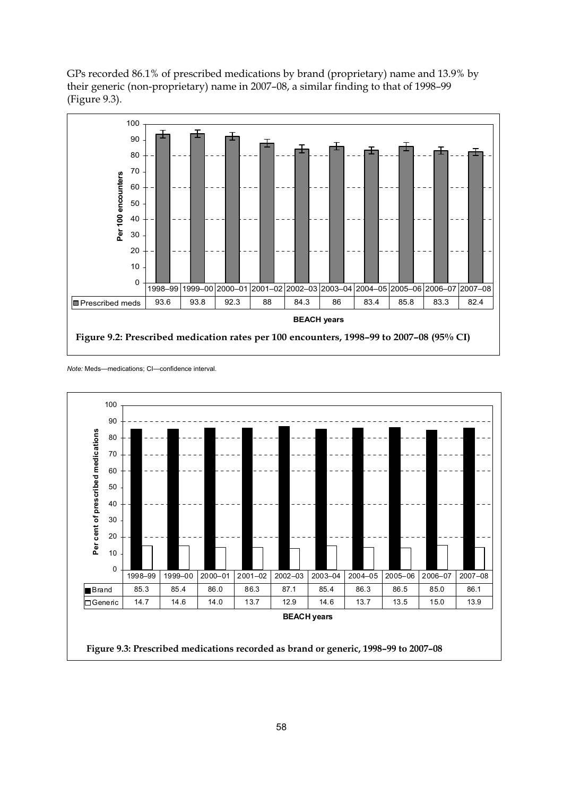GPs recorded 86.1% of prescribed medications by brand (proprietary) name and 13.9% by their generic (non-proprietary) name in 2007–08, a similar finding to that of 1998–99 (Figure 9.3).





*Note:* Meds—medications; CI—confidence interval.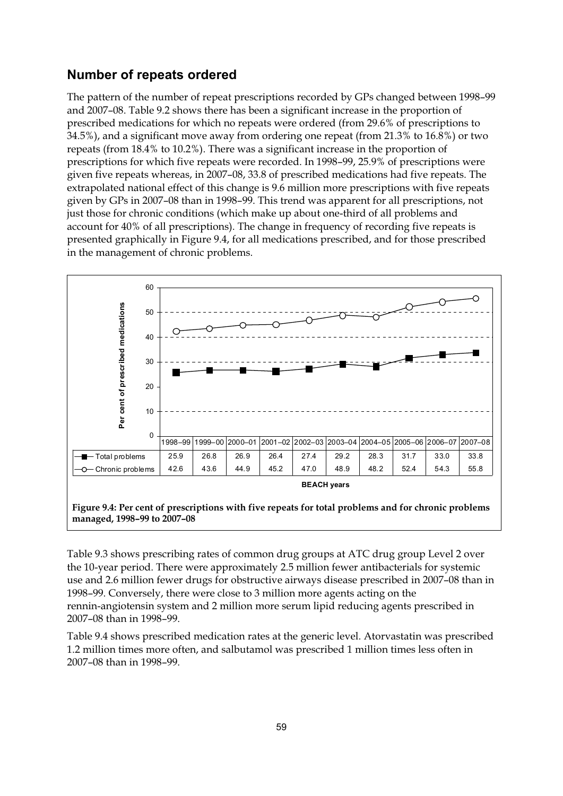#### **Number of repeats ordered**

The pattern of the number of repeat prescriptions recorded by GPs changed between 1998–99 and 2007–08. Table 9.2 shows there has been a significant increase in the proportion of prescribed medications for which no repeats were ordered (from 29.6% of prescriptions to 34.5%), and a significant move away from ordering one repeat (from 21.3% to 16.8%) or two repeats (from 18.4% to 10.2%). There was a significant increase in the proportion of prescriptions for which five repeats were recorded. In 1998–99, 25.9% of prescriptions were given five repeats whereas, in 2007–08, 33.8 of prescribed medications had five repeats. The extrapolated national effect of this change is 9.6 million more prescriptions with five repeats given by GPs in 2007–08 than in 1998–99. This trend was apparent for all prescriptions, not just those for chronic conditions (which make up about one-third of all problems and account for 40% of all prescriptions). The change in frequency of recording five repeats is presented graphically in Figure 9.4, for all medications prescribed, and for those prescribed in the management of chronic problems.



Table 9.3 shows prescribing rates of common drug groups at ATC drug group Level 2 over the 10-year period. There were approximately 2.5 million fewer antibacterials for systemic use and 2.6 million fewer drugs for obstructive airways disease prescribed in 2007–08 than in 1998–99. Conversely, there were close to 3 million more agents acting on the rennin-angiotensin system and 2 million more serum lipid reducing agents prescribed in 2007–08 than in 1998–99.

Table 9.4 shows prescribed medication rates at the generic level. Atorvastatin was prescribed 1.2 million times more often, and salbutamol was prescribed 1 million times less often in 2007–08 than in 1998–99.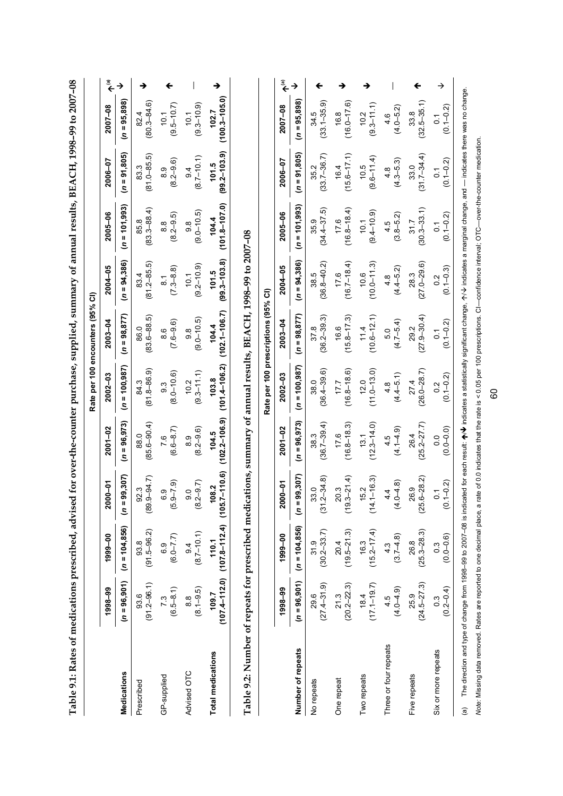|                                                                                                               |                           |                                                                |                         |                                   |                            | Rate per 100 encounters (95% CI)                  |                                     |                                 |                                 |                                 |                               |
|---------------------------------------------------------------------------------------------------------------|---------------------------|----------------------------------------------------------------|-------------------------|-----------------------------------|----------------------------|---------------------------------------------------|-------------------------------------|---------------------------------|---------------------------------|---------------------------------|-------------------------------|
|                                                                                                               | 1998-99                   | 1999-00                                                        | $2000 - 01$             | $2001 - 02$                       | $2002 - 03$                | 2003-04                                           | $2004 - 05$                         | 2005-06                         | 2006-07                         | 2007-08                         | $\widehat{\bar{\mathbb{F}}}$  |
| <b>Medications</b>                                                                                            | $(n = 96, 901)$           | $(n = 104, 856)$                                               | 99,307)<br>$r = 9$      | $(n = 96, 973)$                   | $(n = 100, 987)$           | $(n = 98, 877)$                                   | $(n = 94,386)$                      | $(n = 101, 993)$                | $(n = 91, 805)$                 | $(n = 95, 898)$                 | $\rightarrow$                 |
| Prescribed                                                                                                    | $93.6$<br>$(91.2 - 96.1)$ | $93.8$<br>(91.5–96.2)                                          | $(89.9 - 94.7)$<br>92.3 | $(85.6 - 90.4)$<br>88.0           | $(81.8 - 86.9)$<br>84.3    | $(83.6 - 88.5)$<br>86.0                           | $(81.2 - 85.5)$<br>83.4             | $(83.3 - 88.4)$<br>85.8         | $(81.0 - 85.5)$<br>83.3         | $(80.3 - 84.6)$<br>82.4         | →                             |
| GP-supplied                                                                                                   | $7.3$<br>(6.5–8.1)        | $(6.0 - 7.7)$                                                  | $(5.9 - 7.9)$           | $(6.6 - 8.7)$<br>7.6              | $(8.0 - 10.6)$<br>ე<br>თ   | $(7.6 - 9.6)$<br>8.6                              | $(7.3 - 8.8)$<br>$\overline{\circ}$ | $(8.2 - 9.5)$<br>8.8            | $(8.2 - 9.6)$<br>8.9            | $(9.5 - 10.7)$<br>10.1          |                               |
| Advised OTC                                                                                                   | $(8.1 - 9.5)$             | $(8.7-10.1)$                                                   | $(8.2 - 9.7)$           | $(8.2 - 9.6)$<br>$\frac{8}{3}$    | $(9.3 - 11.1)$<br>10.2     | $(9.0 - 10.5)$<br>$\overline{9}$ . $\overline{8}$ | $(9.2 - 10.9)$<br>10.1              | $(9.0 - 10.5)$<br>$\frac{8}{9}$ | $(8.7 - 10.1)$<br>9.4           | $(9.3 - 10.9)$<br>10.1          |                               |
| <b>Total medications</b>                                                                                      | 109.7                     | $(107.4 - 112.0)$ $(107.8 - 112.4)$ $(105.7 - 110.6)$<br>110.1 | 108.2                   | $(102.2 - 106.9)$<br>104.5        | $(101.4 - 106.2)$<br>103.8 | $(102.1 - 106.7)$<br>104.4                        | $(99.3 - 103.8)$<br>101.5           | $(101.8 - 107.0)$<br>104.4      | $(99.2 - 103.9)$<br>101.5       | $(100.3 - 105.0)$<br>102.7      |                               |
| Table 9.2: Number of repeats for prescribed medications, summary of annual results, BEACH, 1998-99 to 2007-08 |                           |                                                                |                         |                                   |                            |                                                   |                                     |                                 |                                 |                                 |                               |
|                                                                                                               |                           |                                                                |                         |                                   |                            | Rate per 100 prescriptions (95% CI)               |                                     |                                 |                                 |                                 |                               |
|                                                                                                               | 1998-99                   | 1999-00                                                        | $2000 - 01$             | $2001 - 02$                       | 2002-03                    | 2003-04                                           | 2004-05                             | 2005-06                         | 2006-07                         | 2007-08                         | $\hat{\boldsymbol{\epsilon}}$ |
| Number of repeats                                                                                             | $(n = 96, 901)$           | $(n = 104, 856)$                                               | 99,307)<br>$(n = 9)$    | $(n = 96, 973)$                   | $= 100,987$<br>s           | $= 98,877$<br>S                                   | $(n = 94,386)$                      | $= 101,993$<br>Ś                | $= 91,805$<br>s                 | $(n = 95,898)$                  | →                             |
| No repeats                                                                                                    | $29.6$<br>$(27.4-31.9)$   | $31.9$<br>(30.2-33.7)                                          | $33.0$<br>$(31.2-34.8)$ | $(36.7 - 39.4)$<br>38.3           | $(36.4 - 39.6)$<br>38.0    | $(36.2 - 39.3)$<br>37.8                           | $(36.8 - 40.2)$<br>38.5             | $(34.4 - 37.5)$<br>35.9         | $(33.7 - 36.7)$<br>35.2         | $(33.1 - 35.9)$<br>34.5         | ←                             |
| One repeat                                                                                                    | $21.3$<br>$(20.2-22.3)$   | $20.4$<br>(19.5–21.3)                                          | $20.3$<br>(19.3–21.4)   | $(16.8 - 18.3)$<br>17.6           | $(16.8 - 18.6)$<br>17.7    | $(15.8 - 17.3)$<br>16.6                           | $(16.7 - 18.4)$<br>17.6             | $(16.8 - 18.4)$<br>17.6         | $(15.6 - 17.1)$<br>16.4         | $(16.0 - 17.6)$<br>16.8         |                               |
| Two repeats                                                                                                   | $(17.1 - 19.7)$           | $(15.2 - 17.4)$<br>16.3                                        | $(14.1 - 16.3)$<br>15.2 | $(12.3 - 14.0)$<br>13.1           | $(11.0 - 13.0)$<br>12.0    | $(10.6 - 12.1)$<br>11.4                           | $(10.0 - 11.3)$<br>10.6             | $(9.4 - 10.9)$<br>10.1          | $(9.6 - 11.4)$<br>10.5          | $(9.3 - 11.1)$<br>10.2          |                               |
| Three or four repeats                                                                                         | $4.5$<br>$(4.0 - 4.9)$    | $4.3$<br>(3.7–4.8)                                             | $(4.0 - 4.8)$<br>4.4    | $(4.1 - 4.9)$<br>4.5              | $(4.4 - 5.1)$<br>4.8       | $(4.7 - 5.4)$<br>5.0                              | $(4.4 - 5.2)$<br>4.8                | $(3.8 - 5.2)$<br>4.5            | $(4.3 - 5.3)$<br>4.8            | $(4.0 - 5.2)$<br>4.6            |                               |
| Five repeats                                                                                                  | $25.9$<br>$(24.5 - 27.3)$ | $26.8$<br>$(25.3-28.3)$                                        | $26.9$<br>$(25.6-28.2)$ | $(25.2 - 27.7)$<br>26.4           | $(26.0 - 28.7)$<br>27.4    | $(27.9 - 30.4)$<br>29.2                           | $(27.0 - 29.6)$<br>28.3             | $(30.3 - 33.1)$<br>31.7         | $(31.7 - 34.4)$<br>33.0         | $(32.5 - 35.1)$<br>33.8         | ←                             |
| Six or more repeats                                                                                           | $0.3$<br>$(0.2 - 0.4)$    | $(0.0 - 0.6)$                                                  | $(0.1 - 0.2)$           | $(0.0 - 0.0)$<br>$\overline{0}$ . | $(0.1 - 0.2)$<br>0.2       | $(0.1 - 0.2)$                                     | $(0.1 - 0.3)$<br>0.2                | $(0.1 - 0.2)$<br>$\overline{C}$ | $(0.1 - 0.2)$<br>$\overline{c}$ | $(0.1 - 0.2)$<br>$\overline{0}$ | →                             |

Note: Missing data removed. Rates are reported to one decimal place, a rate of 0.0 indicates that the rate is < 0.05 per 100 prescriptions. CI--confidence interval; OTC--over-the-counter medication. Note: Missing data removed. Rates are reported to one decimal place, a rate of 0.0 indicates that the rate is < 0.05 per 100 prescriptions. CI—confidence interval; OTC—over-the-counter medication.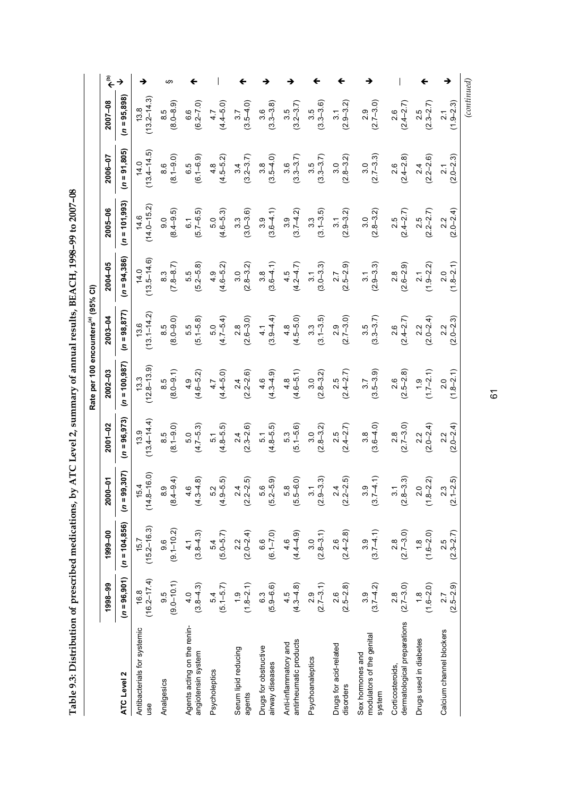**Table 9.3: Distribution of prescribed medications, by ATC Level 2, summary of annual results, BEACH, 1998–99 to 2007–08**  Table 9.3: Distribution of prescribed medications, by ATC Level 2, summary of annual results, BEACH, 1998-99 to 2007-08

**(b)**  $13.8$ <br>(13.2–14.3) ↓  $(4.4-5.0)$  $(2.4-2.7)$  $(continued)$  *(continued)*  $\rightarrow$  $(8.0-8.9)$  § angiotensin system 4.0 (3.8–4.3) 4.1 (3.8–4.3) 4.6 (4.3–4.8) 5.0 (4.7–5.3) 4.9 (4.6–5.2) 5.5 (5.1–5.8) 5.5 (5.2–5.8) 6.1 (5.7–6.5) 6.5 (6.1–6.9) 6.6 (6.2–7.0) - $\bigvee_{(3.2-3.7)}$  $\downarrow$ <br>(2.7–3.0) АТС Level 2 (л = 95,901) (л = 104,956) (л = 98,377) (л = 98,72) (л = 98,973) (л = 95,307) (л = 95,300 дт = 95,898) (л = 95,988) (л = 95,898)  $(n = 95,898)$  $2007 - 08$  $(4.4 - 5.0)$  $(2.4 - 2.7)$  $(2.3 - 2.7)$  $(1.9 - 2.3)$  $(0.2 - 7.0)$  $(3.3 - 3.6)$  $(2.9 - 3.2)$ **1998–99 1999–00 2000–01 2001–02 2002–03 2003–04 2004–05 2005–06 2006–07 2007–08**  $(3.5-4.0)$ (3.3–3.8) 13.8 3.5 2.5 6.6 4.7 3.7 3.6 3.1 2.6 եր<br>8. 3.5 ი<br>2.9 2.1  $(n = 91.805)$  $(13.4 - 14.5)$  $(13.4 - 14.5)$  $(3.2 - 3.7)$  $(3.3 - 3.7)$ (8.1–9.0)  $(6.1 - 6.9)$ (4.5–5.2) (3.5–4.0) (3.3–3.7) (2.8–3.2) (2.7–3.3) (2.4–2.8) (2.0–2.3) 2006-07 (2.2–2.6) 14.0 3.6 3.5 3.0 3.0 8.6 6.5 4.8 3.4 3.8 2.6 2.4 2.1  $(n = 101, 993)$  $14.6$ <br> $(14.0 - 15.2)$  $(14.0 - 15.2)$  $(5.7 - 6.5)$ (4.6–5.3) (3.0–3.6)  $(3.6 - 4.1)$  $(3.7 - 4.2)$  $(3.1 - 3.5)$ (2.9–3.2) (2.8–3.2)  $(2.4 - 2.7)$ (2.2–2.7)  $2005 - 06$ (8.4–9.5) (2.0–2.4) 3.3 9.0  $6.1$ 3.3 .<br>თ 3.9 3.1 3.0 2.2  $\frac{0}{5}$ 2.5 2.5  $(n = 94, 386)$ (13.5–14.6)  $(13.5 - 14.6)$ (2.9–3.3) (4.6–5.2) (2.8–3.2) (2.6–2.9)  $(1.8 - 2.1)$  $2004 - 05$ (7.8–8.7)  $5.2 - 5.8$  $(3.6 - 4.1)$ (4.2–4.7) (3.0–3.3) (2.5–2.9) (1.9–2.2) 14.0 8.3 5.5 3.8 4.5 3.1 2.7 2.8 2.1  $\frac{9}{4}$  $\frac{0}{2}$  $\frac{1}{3}$ 2.0 Rate per 100 encounters<sup>(a)</sup> (95% CI) Rate per 100 encounters<sup>(a)</sup> (95% CI)  $13.\overline{6}$ <br>(13.1–14.2)  $(n = 98, 877)$  $(13.1 - 14.2)$ (4.7–5.4) (2.6–3.0) (4.5–5.0) (3.1–3.5)  $(3.3 - 3.7)$  $2003 - 04$  $(5.1 - 5.8)$  $(3.9 - 4.4)$ (2.7–3.0)  $(2.0 - 2.4)$ (8.0–9.0)  $(2.4 - 2.7)$  $(2.0 - 2.3)$ 8.5 5.5 2.9 2.6 2.2  $4.1$ 5.0  $\frac{8}{2}$ 4.8 3.3 3.5 2.2  $(n = 100, 987)$  $(12.8 - 13.9)$  $(12.8 - 13.9)$  $(3.5-3.9)$  $(1.7–2.1)$  $2002 - 03$ (8.0–9.1)  $(4.6 - 5.2)$ (4.4–5.0) (2.2–2.6) (4.6–5.1) (2.8–3.2)  $(2.4 - 2.7)$ (2.5–2.8)  $(1.8 - 2.1)$ (4.3–4.9) 13.3 8.5 4.6 3.0 2.5 2.6 1.9  $4.9$ 4.7  $\frac{4}{3}$ 4.8 3.7 2.0  $(n = 96, 973)$ (13.4–14.4)  $(13.4 - 14.4)$ (8.1–9.0) (2.3–2.6) (3.6–4.0)  $2001 - 02$  $(4.7 - 5.3)$ (4.8–5.5) (4.8–5.5) (5.1–5.6) (2.8–3.2)  $(2.4 - 2.7)$  $(2.7 - 3.0)$  $(2.0 - 2.4)$  $(2.0 - 2.4)$ 13.9 8.5 3.0 2.5 5.1 2.4 5.1 5.3 2.8 2.2 5.0 2.2  $\frac{8}{3}$  $(n = 99, 307)$  $(14.8 - 16.0)$  $(14.8 - 16.0)$ (8.4–9.4) (4.9–5.5) (2.2–2.5) (5.2–5.9) (5.5–6.0)  $(3.7-4.1)$ (2.8–3.3)  $(4.3 - 4.8)$ (2.9–3.3) (2.2–2.5) (1.8–2.2)  $(2.1 - 2.5)$  $2000 - 01$ 15.4 2.4 2.0 8.9 4.6 5.2 3.1 3.1 3.9  $\frac{4}{3}$ 5.6  $\frac{8}{5}$ 2.3  $(n = 104, 856)$ (15.2–16.3)  $(15.2 - 16.3)$  $(9.1 - 10.2)$  $(9.1 - 10.2)$  $(3.8 - 4.3)$ (5.0–5.7)  $(2.0 - 2.4)$  $(4.4 - 4.9)$  $(3.7 - 4.1)$  $(2.7 - 3.0)$ 1999-00 (2.8–3.1) (1.6–2.0) (2.3–2.7) (6.1–7.0) (2.4–2.8) 15.7 2.2 3.0 2.6 1.8 5.4 6.6 4.6 3.9 2.8 9.6  $\frac{4}{1}$ 2.5  $(n = 96, 901)$ (16.2–17.4)  $16.2 - 17.4$  $9.0 - 10.1$  $(9.0-10.1)$  $5.4$ <br>(5.1–5.7)  $(1.8-2.1)$ (4.3–4.8) (2.5–2.8)  $(3.7-4.2)$ 1998-99  $(3.8 - 4.3)$ (5.9–6.6)  $2.7 - 3.1$ (2.7–3.0) (1.6–2.0)  $2.5 - 2.9$  $2.9$ 16.8 9.5 6.3 2.6 2.8  $\frac{8}{10}$  $4.0$ Analgesics 9.5 Psycholeptics 5.4  $\frac{1}{1}$ 4.5 Psychoanaleptics 2.9 3.9 Drugs used in diabetes 1.8 Calcium channel blockers 2.7 dermatological preparations dermatological preparations Agents acting on the renin-Agents acting on the renin-Antibacterials for systemic Antibacterials for systemic Calcium channel blockers nodulators of the genital modulators of the genital antirheumatic products antirheumatic products Drugs used in diabetes Anti-inflammatory and Anti-inflammatory and Drugs for acid-related Drugs for acid-related Serum lipid reducing **Drugs for obstructive** Drugs for obstructive Serum lipid reducing angiotensin system Sex hormones and Sex hormones and **Psychoanaleptics** airway diseases airway diseases Corticosteroids, Corticosteroids. Psycholeptics **ATC Level 2** Analgesics disorders disorders system agents use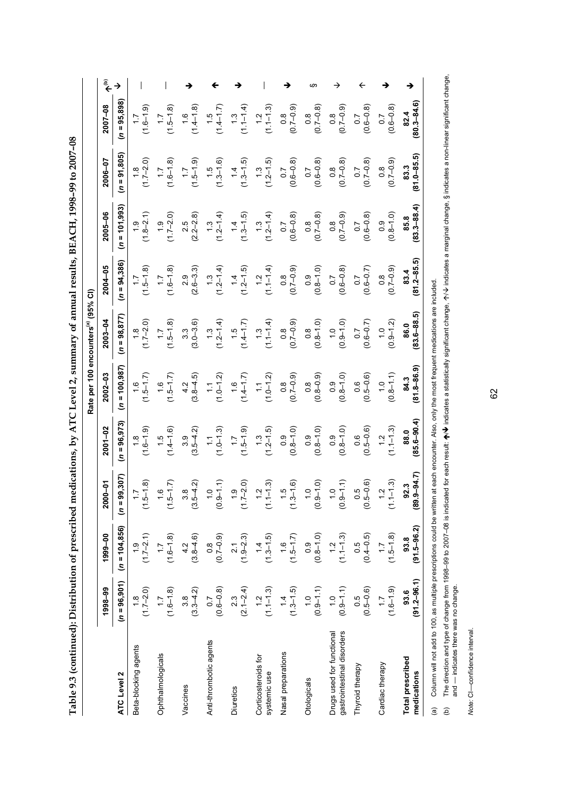|                                                         |                         |                         |                                                                 |                                   | Rate per 100 encounters(a) (95% CI) |                                                  |                           |                           |                           |                                   |     |
|---------------------------------------------------------|-------------------------|-------------------------|-----------------------------------------------------------------|-----------------------------------|-------------------------------------|--------------------------------------------------|---------------------------|---------------------------|---------------------------|-----------------------------------|-----|
|                                                         | 1998-99                 | 1999-00                 | 5-0-<br><b>200</b>                                              | $2001 - 02$                       | $2002 - 03$                         | $2003 - 04$                                      | $2004 - 05$               | 2005-06                   | 2006-07                   | $2007 - 08$                       | مٌ€ |
| ATC Level 2                                             | $(n = 96, 901)$         | $(n = 104, 856)$        | 99,307)<br>$(n = 9$                                             | $(n = 96, 973)$                   | $(n = 100, 987)$                    | $(n = 98, 877)$                                  | $(n = 94, 386)$           | $(n = 101, 993)$          | $(n = 91, 805)$           | $(n = 95, 898)$                   |     |
| Beta-blocking agents                                    | $(1.7-2.0)$             | $(1.7-2.1)$             | $\frac{1}{1}$ 7 (8)<br>$\frac{5}{2}$                            | $(1.8$<br>$(1.6 - 1.9)$           | $(1.5-1.7)$                         | $(1.7-2.0)$                                      | $(1.5 - 1.8)$             | $(1.8-2.1)$               | $(1.7 - 2.0)$             | $(1.6 - 1.9)$                     |     |
| Ophthalmologicals                                       | $(1.7$<br>(1.6–1.8)     | $(1.6 - 1.8)$           | $\frac{6}{1}$<br>$\frac{5}{2}$                                  | $(1.5$<br>$(1.4 - 1.6)$           | $(1.5-1.7)$                         | $(1.5 - 1.8)$                                    | $(1.6 - 1.8)$             | $(1.7-2.0)$               | $(1.6 - 1.8)$             | $(1.5 - 1.8)$                     |     |
| Vaccines                                                | $(3.3-4.2)$             | $4.2$<br>(3.8–4.6)      | $\frac{36}{4}$<br>(3.5)                                         | $(3.5 - 4.2)$<br>3.9              | $4.2$<br>(3.8–4.5)                  | $3.3$<br>(3.0–3.6)                               | $2.9$<br>$(2.6-3.3)$      | $(2.2 - 2.8)$             | $(1.5 - 1.9)$             | $(1.4 - 1.8)$<br>$\frac{6}{1}$    |     |
| Anti-thrombotic agents                                  | $(0.6 - 0.8)$           | $(0.7 - 0.9)$           | $\frac{1}{2}$<br>$\frac{0}{2}$                                  | $(1.0 - 1.3)$<br>$\tilde{=}$      | $(1.0 - 1.2)$                       | $(1.3$<br>$(1.2-1.4)$                            | $(1.3$<br>$(1.2-1.4)$     | $(1.3$<br>$(1.2-1.4)$     | $(1.5$<br>$(1.3-1.6)$     | $(1.4 - 1.7)$                     |     |
| Diuretics                                               | $2.3$<br>(2.1–2.4)      | $(1.9-2.3)$             | $(1.7-2.0)$                                                     | $(1.5 - 1.9)$                     | $(1.4 - 1.7)$<br>$\frac{6}{1}$      | $(1.5$<br>(1.4–1.7)                              | $(1.4$<br>$(1.2-1.5)$     | $(1.3-1.5)$               | $(1.3-1.5)$               | $(1.1 - 1.4)$<br>$\ddot{.}$       |     |
| Corticosteroids for<br>systemic use                     | $(1.1 - 1.3)$           | $(1.3 - 1.5)$           | Ņ<br>۲.۲<br>ا                                                   | $(1.3$<br>$(1.2-1.5)$             | $(1.0 - 1.2)$                       | $(1.1 - 1.4)$                                    | $(1.1-1.4)$               | $(1.2 - 1.4)$             | $(1.2 - 1.5)$             | $(1.1 - 1.3)$                     |     |
| Nasal preparations                                      | $(1.3 - 1.5)$           | $(1.5 - 1.7)$           | $\frac{6}{1}$<br>r.<br>$\frac{3}{2}$                            | $(0.8 - 1.0)$                     | $(0.7 - 0.9)$                       | $(0.7 - 0.9)$                                    | $(0.7 - 0.9)$             | $(0.6 - 0.8)$             | $(0.6 - 0.8)$             | $(0.7 - 0.9)$<br>$0.\overline{8}$ |     |
| Otologicals                                             | $(0.9 - 1.1)$           | $(0.8 - 1.0)$           | $\frac{0}{2}$                                                   | $(0.8 - 1.0)$                     | $(0.8-0.9)$                         | $\begin{array}{c} 0.8 \\ 0.8 - 1.0 \end{array}$  | $(0.8 - 1.0)$             | $(0.7 - 0.8)$             | $(0.6 - 0.8)$             | $(0.7 - 0.8)$<br>$\frac{8}{2}$    |     |
| gastrointestinal disorders<br>Drugs used for functional | $(0.9 - 1.1)$           | $(1.1 - 1.3)$           | $\circ$<br>$\frac{0}{2}$                                        | $(0.8 - 1.0)$<br>$\overline{0}$ . | $(0.8 - 1.0)$                       | $(0.9 - 1.0)$                                    | $(0.6 - 0.8)$             | $(6.0 - 7.0)$             | $(0.7 - 0.8)$             | $(0.7 - 0.9)$                     |     |
| Thyroid therapy                                         | $(0.5 - 0.6)$           | $0.5$<br>(0.4–0.5)      | $\begin{array}{c} 60 \\  -0.6 \\  \end{array}$<br>$\frac{6}{5}$ | $(0.5 - 0.6)$<br>0.6              | $(0.5 - 0.6)$                       | $(0.6 - 0.7)$                                    | $(0.6 - 0.7)$<br>$\sim$   | $(0.6 - 0.8)$             | $(0.7 - 0.8)$             | $(0.6 - 0.8)$<br>$\sim$           |     |
| Cardiac therapy                                         | $(1.6 - 1.9)$           | $(1.5-1.8)$             | $\frac{2}{1} - \frac{3}{1}$<br>ر ج<br>ح                         | $(1.1 - 1.3)$<br>1.2              | $(0.8 - 1.1)$                       | $(0.9 - 1.2)$<br>$\frac{1}{2}$                   | $(6.0 - 7.0)$             | $(0.8 - 1.0)$             | $(6.0 - 7.0)$             | $(0.6 - 0.8)$<br>0.7              |     |
| Total prescribed<br>medications                         | $(91.2 - 96.1)$<br>93.6 | $93.8$<br>$(91.5-96.2)$ | $\begin{array}{c} 92.3 \\ (89.9 - 94.7) \end{array}$            | $88.0$<br>$(85.6-90.4)$           | $84.3$<br>$(81.8 - 86.9)$           | $\begin{array}{c} 86.0 \\ 83.6-88.5 \end{array}$ | $83.4$<br>$(81.2 - 85.5)$ | $85.8$<br>$(83.3 - 88.4)$ | $83.3$<br>$(81.0 - 85.5)$ | $(80.3 - 84.6)$<br>82.4           |     |

Table 9.3 (continued): Distribution of prescribed medications, by ATC Level 2, summary of annual results, BEACH, 1998-99 to 2007-08 **Table 9.3 (continued): Distribution of prescribed medications, by ATC Level 2, summary of annual results, BEACH, 1998–99 to 2007–08** 

Column will not add to 100, as multiple prescriptions could be written at each encounter. Also, only the most frequent medications are included. (a) Column will not add to 100, as multiple prescriptions could be written at each encounter. Also, only the most frequent medications are included.  $\widehat{a}$ 

 $\bm{\mathcal{W}}$  indicates a statistically significant change,  $\bm{\gamma} \bm{\mathcal{N}}$  indicates a marginal change, § indicates a non-linear significant change, The direction and type of change from 1998–99 to 2007–08 is indicated for each result: ♠/♦ indicates a statistically significant change, ↑/♦ indicates a marginal change, § indicates a non-linear significant change,<br>and — (b) The direction and type of change from 1998–99 to 2007–08 is indicated for each result:  $\spadesuit$ and — indicates there was no change.  $\hat{e}$ 

Note: CI-confidence interval. *Note:* CI—confidence interval.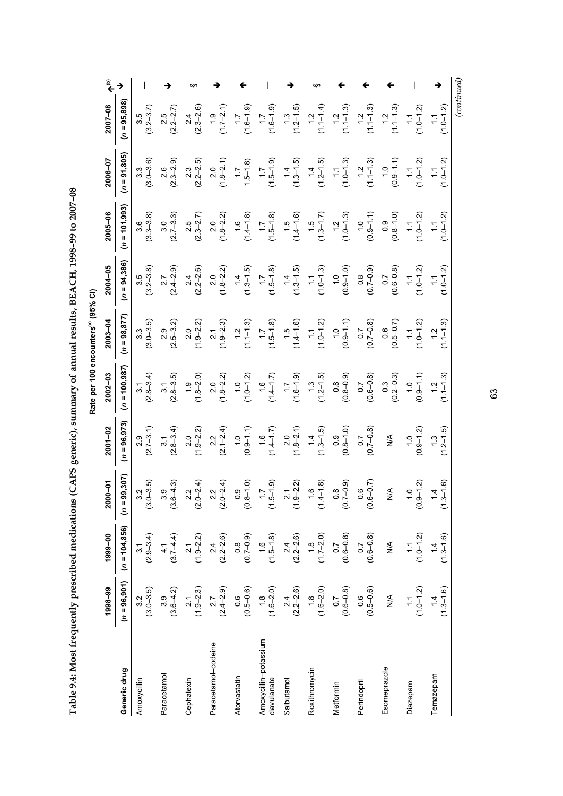| ミュー こううま うっし                                                                                                                                                                                                                             |
|------------------------------------------------------------------------------------------------------------------------------------------------------------------------------------------------------------------------------------------|
|                                                                                                                                                                                                                                          |
| j                                                                                                                                                                                                                                        |
| <b>CONTROL CONTRACT LACK FACT</b><br>ו<br> <br> <br>                                                                                                                                                                                     |
|                                                                                                                                                                                                                                          |
|                                                                                                                                                                                                                                          |
| values are the content of content of the content of the content of the content of the content of the content of the content of the content of the content of the content of the content of the content of the content of the c<br>.<br>. |
| l                                                                                                                                                                                                                                        |
|                                                                                                                                                                                                                                          |
| ֧֧֧֧֧֧֧֧֧֧֧֧֛֛֚֚֚֚֚֚֚֚֚֚֚֚֚֚֓֝֝֓֝֟֜֝֬֝֟֓֝֟֜֜֜֜֜                                                                                                                                                                                          |
|                                                                                                                                                                                                                                          |
|                                                                                                                                                                                                                                          |
| $\vdots$<br>l                                                                                                                                                                                                                            |
| I<br>֖֖֧֪֪֪֪֪֪֪֪֪֪֪֪֪֪֪ׅ֦֧֚֚֚֚֚֚֚֚֚֚֚֚֚֚֚֚֚֚֚֚֚֚֚֚֚֬֝֟֓֡֟֓֡֟֓֡֟֓֡֟                                                                                                                                                                       |
| l                                                                                                                                                                                                                                        |
|                                                                                                                                                                                                                                          |
|                                                                                                                                                                                                                                          |

| €ِ<br>œ.<br>$(n = 95,898)$<br>$2007 - 08$<br>$(1.3$<br>$(1.2-1.5)$<br>$(1.1 - 1.3)$<br>$(1.1 - 1.3)$<br>$(1.6 - 1.9)$<br>$(1.1-1.4)$<br>$(1.1 - 1.3)$<br>$(1.0-1.2)$<br>$3.5$<br>$(3.2 - 3.7)$<br>$(1.6 - 1.9)$<br>$1.0 - 1.2$<br>$2.5$<br>(2.2–2.7)<br>$2.4$<br>$(2.3 - 2.6)$<br>$(1.7-2.1)$<br>1.2<br>$(n = 91,805)$<br>2006-07<br>$(1.3-1.5)$<br>$(1.5 - 1.9)$<br>$(1.4$<br>$(1.2-1.5)$<br>$1.0 - 1.2$<br>$3.3$<br>$(3.0 - 3.6)$<br>$2.6$<br>$(2.3 - 2.9)$<br>$(1.0 - 1.3)$<br>$(1.1 - 1.3)$<br>$(1.0 - 1.2)$<br>$2.3$<br>$(2.2-2.5)$<br>$(1.8-2.1)$<br>$(0.9 - 1.1)$<br>$1.5 - 1.8$<br>$\frac{1}{2}$<br>$(n = 101, 993)$<br>2005-06<br>$(1.5$<br>$(1.4-1.6)$<br>$(3.3 - 3.8)$<br>$(1.8 - 2.2)$<br>$(1.4 - 1.8)$<br>$(1.5 - 1.8)$<br>$(1.0 - 1.3)$<br>$(0.8 - 1.0)$<br>$(2.7 - 3.3)$<br>$(1.3-1.7)$<br>$(1.0 - 1.2)$<br>$1.0 - 1.2$<br>$2.5$<br>(2.3–2.7)<br>$(0.9 - 1.1)$<br>$\frac{1}{2}$<br>$(n = 94,386)$<br>2004-05<br>$(1.3-1.5)$<br>$(1.3-1.5)$<br>$(1.5 - 1.8)$<br>$(1.0 - 1.3)$<br>$(0.8$<br>(0.7-0.9)<br>$3.5$<br>$(3.2 - 3.8)$<br>$2.7$<br>$(2.4 - 2.9)$<br>$(1.8-2.2)$<br>$(0.9 - 1.0)$<br>$(0.6 - 0.8)$<br>$(1.0 - 1.2)$<br>$1.0 - 1.2$<br>$2.4$<br>(2.2–2.6)<br>$\overline{\phantom{0}}$<br>$(n = 98, 877)$<br>$2003 - 04$<br>$(1.5$<br>$(1.4-1.6)$<br>$(3.0 - 3.5)$<br>$(1.0-1.2)$<br>$(0.7 - 0.8)$<br>$(1.9 - 2.3)$<br>$(1.1 - 1.3)$<br>$(1.5 - 1.8)$<br>$(0.9 - 1.1)$<br>$(1.0 - 1.2)$<br>$1.1 - 1.3$<br>$2.9$<br>$(2.5-3.2)$<br>$(1.9 - 2.2)$<br>$0.6$<br>(0.5–0.7)<br>1.2<br>$(n = 100, 987)$<br>$2002 - 03$<br>$(2.8-3.4)$<br>$(1.6 - 1.9)$<br>$(0.8 - 0.9)$<br>$\begin{array}{c} 3.1 \\ (2.8 - 3.5) \end{array}$<br>$(1.3$<br>$(1.2-1.5)$<br>$(1.8-2.0)$<br>$(1.8-2.2)$<br>$(1.0 - 1.2)$<br>$(0.6 - 0.8)$<br>$\begin{array}{c} 0.3 \\ (0.2 - 0.3) \end{array}$<br>$(0.9 - 1.1)$<br>$(1.1 - 1.3)$<br>$(1.4 - 1.7)$<br>$(n = 96, 973)$<br>$2001 - 02$<br>$(2.8-3.4)$<br>$(1.8-2.1)$<br>$(2.7 - 3.1)$<br>$(1.3-1.5)$<br>$(0.8 - 1.0)$<br>$(1.9 - 2.2)$<br>$(2.1 - 2.4)$<br>$(0.9 - 1.1)$<br>$(0.7 - 0.8)$<br>$(0.9 - 1.2)$<br>$(1.2 - 1.5)$<br>$(1.4 - 1.7)$<br>1.3<br>$\stackrel{\leq}{\geq}$<br>$(n = 99, 307)$<br>$0.9$<br>$6 - 0$<br>$(1.9-2.2)$<br>$-1.6$<br>$-01$<br>$3.2$<br>(3.0–3.5)<br>$(1.5-1.9)$<br>$0.8$<br>7-0.9)<br>$\frac{1}{2}$ $\frac{2}{1}$<br>$3.9$<br>(3.6–4.3)<br>$2.2$<br>(2.0–2.4)<br>$2.2$<br>(2.0–2.4)<br>$1.6$<br>1-1.8)<br>$6 - 0.7$<br>$\frac{4}{2}$<br>4<br>200<br>$\ddot{\circ}$<br>(1.4)<br>(0.7)<br>$\overline{0}$ .<br>$\overline{6}$<br>$\frac{3}{2}$<br>$(n = 104, 856)$<br>1999-00<br>$(2.9 - 3.4)$<br>$4.1$<br>(3.7–4.4)<br>$2.4$<br>(2.2–2.6)<br>$(1.3-1.6)$<br>$2.1$<br>(1.9-2.2)<br>$(0.7 - 0.9)$<br>$(1.5 - 1.8)$<br>$(2.2-2.6)$<br>$(1.7-2.0)$<br>$(1.7-2.0)$<br>$(0.6-0.8)$<br>$(1 0 - 1.2)$<br>$(0.6 - 0.8)$<br>$\mathbb{R}^4$<br>$(n = 96, 901)$<br>$(1.3-1.6)$<br>$3.2$<br>(3.0–3.5)<br>$(1.0 - 1.2)$<br>1998-99<br>$3.9$<br>$(3.6-4.2)$<br>$2.1$<br>(1.9–2.3)<br>$2.7$<br>(2.4–2.9)<br>$(0.5 - 0.6)$<br>$(1.\overline{8}, 0)$<br>$(2.\overline{2}, 4, 0)$<br>$(2.\overline{2}, -2.\overline{6}, 0)$<br>$(1.\overline{6}, -2.\overline{0}, 0)$<br>$(0.\overline{6}, -0.\overline{8})$<br>$(0.\overline{6}, -0.\overline{8})$<br>$(0.5 - 0.6)$<br>$\sum_{i=1}^{n}$ |  |  | Rate per 100 encounters(a) (95% CI) |  |  |  |
|---------------------------------------------------------------------------------------------------------------------------------------------------------------------------------------------------------------------------------------------------------------------------------------------------------------------------------------------------------------------------------------------------------------------------------------------------------------------------------------------------------------------------------------------------------------------------------------------------------------------------------------------------------------------------------------------------------------------------------------------------------------------------------------------------------------------------------------------------------------------------------------------------------------------------------------------------------------------------------------------------------------------------------------------------------------------------------------------------------------------------------------------------------------------------------------------------------------------------------------------------------------------------------------------------------------------------------------------------------------------------------------------------------------------------------------------------------------------------------------------------------------------------------------------------------------------------------------------------------------------------------------------------------------------------------------------------------------------------------------------------------------------------------------------------------------------------------------------------------------------------------------------------------------------------------------------------------------------------------------------------------------------------------------------------------------------------------------------------------------------------------------------------------------------------------------------------------------------------------------------------------------------------------------------------------------------------------------------------------------------------------------------------------------------------------------------------------------------------------------------------------------------------------------------------------------------------------------------------------------------------------------------------------------------------------------------------------------------------------------------------------------------------------------------------------------------------------------------------------------------------------------------------------------------------------------------------------------------------------------------------------------------------------------------------------------------------------------------------------------------------------------------------------------------------------------------------------------------------------------|--|--|-------------------------------------|--|--|--|
|                                                                                                                                                                                                                                                                                                                                                                                                                                                                                                                                                                                                                                                                                                                                                                                                                                                                                                                                                                                                                                                                                                                                                                                                                                                                                                                                                                                                                                                                                                                                                                                                                                                                                                                                                                                                                                                                                                                                                                                                                                                                                                                                                                                                                                                                                                                                                                                                                                                                                                                                                                                                                                                                                                                                                                                                                                                                                                                                                                                                                                                                                                                                                                                                                                       |  |  |                                     |  |  |  |
|                                                                                                                                                                                                                                                                                                                                                                                                                                                                                                                                                                                                                                                                                                                                                                                                                                                                                                                                                                                                                                                                                                                                                                                                                                                                                                                                                                                                                                                                                                                                                                                                                                                                                                                                                                                                                                                                                                                                                                                                                                                                                                                                                                                                                                                                                                                                                                                                                                                                                                                                                                                                                                                                                                                                                                                                                                                                                                                                                                                                                                                                                                                                                                                                                                       |  |  |                                     |  |  |  |
|                                                                                                                                                                                                                                                                                                                                                                                                                                                                                                                                                                                                                                                                                                                                                                                                                                                                                                                                                                                                                                                                                                                                                                                                                                                                                                                                                                                                                                                                                                                                                                                                                                                                                                                                                                                                                                                                                                                                                                                                                                                                                                                                                                                                                                                                                                                                                                                                                                                                                                                                                                                                                                                                                                                                                                                                                                                                                                                                                                                                                                                                                                                                                                                                                                       |  |  |                                     |  |  |  |
|                                                                                                                                                                                                                                                                                                                                                                                                                                                                                                                                                                                                                                                                                                                                                                                                                                                                                                                                                                                                                                                                                                                                                                                                                                                                                                                                                                                                                                                                                                                                                                                                                                                                                                                                                                                                                                                                                                                                                                                                                                                                                                                                                                                                                                                                                                                                                                                                                                                                                                                                                                                                                                                                                                                                                                                                                                                                                                                                                                                                                                                                                                                                                                                                                                       |  |  |                                     |  |  |  |
|                                                                                                                                                                                                                                                                                                                                                                                                                                                                                                                                                                                                                                                                                                                                                                                                                                                                                                                                                                                                                                                                                                                                                                                                                                                                                                                                                                                                                                                                                                                                                                                                                                                                                                                                                                                                                                                                                                                                                                                                                                                                                                                                                                                                                                                                                                                                                                                                                                                                                                                                                                                                                                                                                                                                                                                                                                                                                                                                                                                                                                                                                                                                                                                                                                       |  |  |                                     |  |  |  |
|                                                                                                                                                                                                                                                                                                                                                                                                                                                                                                                                                                                                                                                                                                                                                                                                                                                                                                                                                                                                                                                                                                                                                                                                                                                                                                                                                                                                                                                                                                                                                                                                                                                                                                                                                                                                                                                                                                                                                                                                                                                                                                                                                                                                                                                                                                                                                                                                                                                                                                                                                                                                                                                                                                                                                                                                                                                                                                                                                                                                                                                                                                                                                                                                                                       |  |  |                                     |  |  |  |
|                                                                                                                                                                                                                                                                                                                                                                                                                                                                                                                                                                                                                                                                                                                                                                                                                                                                                                                                                                                                                                                                                                                                                                                                                                                                                                                                                                                                                                                                                                                                                                                                                                                                                                                                                                                                                                                                                                                                                                                                                                                                                                                                                                                                                                                                                                                                                                                                                                                                                                                                                                                                                                                                                                                                                                                                                                                                                                                                                                                                                                                                                                                                                                                                                                       |  |  |                                     |  |  |  |
|                                                                                                                                                                                                                                                                                                                                                                                                                                                                                                                                                                                                                                                                                                                                                                                                                                                                                                                                                                                                                                                                                                                                                                                                                                                                                                                                                                                                                                                                                                                                                                                                                                                                                                                                                                                                                                                                                                                                                                                                                                                                                                                                                                                                                                                                                                                                                                                                                                                                                                                                                                                                                                                                                                                                                                                                                                                                                                                                                                                                                                                                                                                                                                                                                                       |  |  |                                     |  |  |  |
|                                                                                                                                                                                                                                                                                                                                                                                                                                                                                                                                                                                                                                                                                                                                                                                                                                                                                                                                                                                                                                                                                                                                                                                                                                                                                                                                                                                                                                                                                                                                                                                                                                                                                                                                                                                                                                                                                                                                                                                                                                                                                                                                                                                                                                                                                                                                                                                                                                                                                                                                                                                                                                                                                                                                                                                                                                                                                                                                                                                                                                                                                                                                                                                                                                       |  |  |                                     |  |  |  |
|                                                                                                                                                                                                                                                                                                                                                                                                                                                                                                                                                                                                                                                                                                                                                                                                                                                                                                                                                                                                                                                                                                                                                                                                                                                                                                                                                                                                                                                                                                                                                                                                                                                                                                                                                                                                                                                                                                                                                                                                                                                                                                                                                                                                                                                                                                                                                                                                                                                                                                                                                                                                                                                                                                                                                                                                                                                                                                                                                                                                                                                                                                                                                                                                                                       |  |  |                                     |  |  |  |
|                                                                                                                                                                                                                                                                                                                                                                                                                                                                                                                                                                                                                                                                                                                                                                                                                                                                                                                                                                                                                                                                                                                                                                                                                                                                                                                                                                                                                                                                                                                                                                                                                                                                                                                                                                                                                                                                                                                                                                                                                                                                                                                                                                                                                                                                                                                                                                                                                                                                                                                                                                                                                                                                                                                                                                                                                                                                                                                                                                                                                                                                                                                                                                                                                                       |  |  |                                     |  |  |  |
|                                                                                                                                                                                                                                                                                                                                                                                                                                                                                                                                                                                                                                                                                                                                                                                                                                                                                                                                                                                                                                                                                                                                                                                                                                                                                                                                                                                                                                                                                                                                                                                                                                                                                                                                                                                                                                                                                                                                                                                                                                                                                                                                                                                                                                                                                                                                                                                                                                                                                                                                                                                                                                                                                                                                                                                                                                                                                                                                                                                                                                                                                                                                                                                                                                       |  |  |                                     |  |  |  |
|                                                                                                                                                                                                                                                                                                                                                                                                                                                                                                                                                                                                                                                                                                                                                                                                                                                                                                                                                                                                                                                                                                                                                                                                                                                                                                                                                                                                                                                                                                                                                                                                                                                                                                                                                                                                                                                                                                                                                                                                                                                                                                                                                                                                                                                                                                                                                                                                                                                                                                                                                                                                                                                                                                                                                                                                                                                                                                                                                                                                                                                                                                                                                                                                                                       |  |  |                                     |  |  |  |
|                                                                                                                                                                                                                                                                                                                                                                                                                                                                                                                                                                                                                                                                                                                                                                                                                                                                                                                                                                                                                                                                                                                                                                                                                                                                                                                                                                                                                                                                                                                                                                                                                                                                                                                                                                                                                                                                                                                                                                                                                                                                                                                                                                                                                                                                                                                                                                                                                                                                                                                                                                                                                                                                                                                                                                                                                                                                                                                                                                                                                                                                                                                                                                                                                                       |  |  |                                     |  |  |  |
|                                                                                                                                                                                                                                                                                                                                                                                                                                                                                                                                                                                                                                                                                                                                                                                                                                                                                                                                                                                                                                                                                                                                                                                                                                                                                                                                                                                                                                                                                                                                                                                                                                                                                                                                                                                                                                                                                                                                                                                                                                                                                                                                                                                                                                                                                                                                                                                                                                                                                                                                                                                                                                                                                                                                                                                                                                                                                                                                                                                                                                                                                                                                                                                                                                       |  |  |                                     |  |  |  |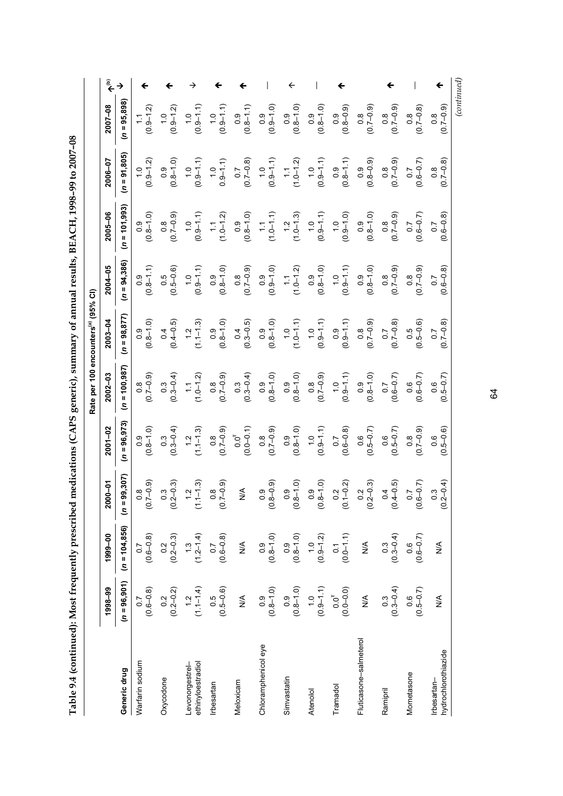| <b>CONNECT ACCORPANY AND A</b> |
|--------------------------------|
|                                |
|                                |
|                                |
|                                |
|                                |
| $\frac{1}{2}$                  |
|                                |
|                                |
|                                |
|                                |
| l                              |
| .<br>.<br>.<br>.<br>.          |
|                                |
|                                |
|                                |
|                                |
| l                              |
|                                |
|                                |
|                                |
|                                |
|                                |
|                                |
|                                |
|                                |
|                                |
|                                |
|                                |
| デュータアック かんしょう しょうりょうりょう        |
|                                |
|                                |
|                                |
|                                |
|                                |
|                                |
|                                |
|                                |
|                                |
|                                |
|                                |
|                                |
|                                |
|                                |
|                                |
| ا<br>ا                         |
|                                |
|                                |
|                                |
|                                |
|                                |
|                                |
|                                |
|                                |
|                                |
|                                |
|                                |
|                                |
|                                |
|                                |
|                                |
| l                              |
|                                |
|                                |
|                                |
| l                              |
|                                |
| i                              |
|                                |
|                                |
|                                |
|                                |
|                                |
|                                |
|                                |
|                                |
|                                |
|                                |
|                                |
|                                |
| ֚֚                             |
|                                |
|                                |
|                                |
| l                              |

| $(0.9 - 1.2)$<br>$(0.9 - 1.2)$<br>$(0.9 - 1.1)$<br>$(0.9 - 1.1)$<br>$(0.9 - 1.2)$<br>$(0.8 - 1.0)$<br>$(0.9 - 1.1)$<br>$1.0$<br>0.9-1.1) |                                                                        | ←<br>$(0.9 - 1.0)$<br>$(0.8 - 1.1)$<br>$(0.7 - 0.8)$<br>$(0.9 - 1.1)$  | $(0.8 - 1.0)$<br>$(1.0-1.2)$                        | $(0.9 - 1.1)$                       | $\begin{array}{c} 0.9 \\ 0.8 - 1.0 \end{array}$<br>$(0.8 - 0.9)$ | $(6.0 - 7.0)$<br>$(0.8 - 0.9)$<br>$\begin{pmatrix} 0.9 \\ 0.8 - 1.1 \end{pmatrix}$ | $(0.7 - 0.9)$<br>$(6.0 - 2.0)$                        | $(0.7 - 0.8)$<br>$(0.6 - 0.7)$                                         | $(6.0 - 7.0)$<br>$(0.7 - 0.8)$    |
|------------------------------------------------------------------------------------------------------------------------------------------|------------------------------------------------------------------------|------------------------------------------------------------------------|-----------------------------------------------------|-------------------------------------|------------------------------------------------------------------|------------------------------------------------------------------------------------|-------------------------------------------------------|------------------------------------------------------------------------|-----------------------------------|
| $(1.0 - 1.2)$<br>$(6.0 - 2.0)$<br>$(0.9 - 1.1)$                                                                                          | $(0.8 - 1.0)$                                                          | $(0.8 - 1.0)$                                                          | $(1.0-1.1)$<br>$(1.0-1.1)$<br>$(1.2$<br>$(1.0-1.3)$ |                                     | $(0.9-1.1)$<br>$(1.0$<br>$1.0$<br>$1.0$<br>$(0.9-1.0)$           | $(0.8 - 1.0)$                                                                      | $(0.8$<br>(0.7–0.9)                                   | $(0.6 - 0.7)$                                                          | $0.6 - 0.8$<br>$\overline{0}$ .   |
| $(0.5 - 0.6)$<br>$(0.8 - 1.0)$<br>$(0.9 - 1.1)$                                                                                          | $(0.8 - 1.1)$                                                          | $(0.7 - 0.9)$<br>$(0.9 - 1.0)$                                         | $(1.0 - 1.2)$                                       |                                     | $\begin{array}{c} 0.9 \\ (0.8-1.0) \end{array}$                  | $(0.8 - 1.0)$<br>$(0.9 - 1.1)$                                                     | $(0.7 - 0.9)$                                         | $(0.7 - 0.9)$                                                          | $(0.6 - 0.8)$                     |
| $(0.8 - 1.0)$<br>$(0.4 - 0.5)$<br>$(1.1 - 1.3)$                                                                                          | $(0.8 - 1.0)$                                                          | $(0.3 - 0.5)$                                                          | $(0.8-1.0)$<br>(0.8-1.0)<br>(1.0-1.1)               |                                     | $(0.9-1.1)$<br>$(0.9-1.1)$<br>$(0.9-1.1)$                        | $(0.7 - 0.9)$                                                                      | $(0.7 - 0.8)$                                         | $(0.5 - 0.6)$                                                          | $(6.7 - 0.8)$                     |
| $(0.7 - 0.9)$<br>$(1.0 - 1.2)$                                                                                                           | $(6.0 - 7.0)$<br>$\begin{array}{c} 0.3 \\ (0.3{\rm -}0.4) \end{array}$ | $(0.8 - 1.0)$<br>$\begin{array}{c} 0.3 \\ (0.3{\rm -}0.4) \end{array}$ | $(0.8 - 1.0)$                                       |                                     | $(0.7 - 0.9)$<br>$(0.7 - 0.9)$<br>$(0.9 - 1.1)$                  | $(0.8 - 1.0)$                                                                      | $(0.6 - 0.7)$                                         | $(0.6 - 0.7)$                                                          | $(0.5 - 0.7)$                     |
| $(6.0 - 7.0)$                                                                                                                            | $(0.3 - 0.4)$                                                          | $0.0^{T}$<br>(0.0–0.1)<br>$(0.7-0.9)$                                  | $(0.8 - 1.0)$                                       | $(0.9 - 1.1)$                       | $(0.6 - 0.8)$                                                    | $(0.5 - 0.7)$                                                                      | $(0.5 - 0.7)$                                         | $(0.7 - 0.9)$                                                          | $(0.5-0.6)$                       |
| $(6.0 - 2.0)$                                                                                                                            | $0.3$<br>$2 - 0.3$<br>៓៓                                               | $0.9$<br>$8 - 0.9$<br>$\frac{1}{2}$<br>$\frac{8}{2}$                   | $0.9$<br>$-1.0$<br>$\frac{8}{2}$                    | $0.9$<br>$2 - 1.0$<br>$\frac{8}{2}$ | $\frac{2}{9}$<br>$\overline{0}$                                  | $0.2$<br>$2 - 0.3$<br>$\frac{2}{2}$                                                | $4 - 0.5$<br>$\overline{0}$                           | $7.7$<br>$7.7$<br>0.6                                                  | $0.3$<br>?-0.4)<br>(0.2)          |
| $(0.6 - 0.8)$                                                                                                                            | $\begin{array}{c} 0.2 \\ 0.2 - 0.3 \end{array}$                        | $(0.8 - 1.0)$<br>$\underset{\text{Z}}{\leq}$                           | $(0.8-1.0)$                                         | $(0.9 - 1.2)$                       | $(0.0 - 1.1)$                                                    | $\underset{\text{Z}}{\leq}$                                                        |                                                       | $\begin{array}{c} 0.3 \\ (0.3{\rm -}0.4) \end{array}$<br>$(0.6 - 0.7)$ | $\frac{1}{2}$                     |
| $(0.5 - 0.6)$                                                                                                                            | $0.2$<br>(0.2–0.2)                                                     | $(0.8 - 1.0)$<br>$\stackrel{\triangle}{\geq}$                          | $(0.8 - 1.0)$                                       |                                     | $(0.9-1.1)$<br>$0.0T$<br>$0.0T$<br>$(0.0-0.0)$                   | $\stackrel{\triangle}{\geq}$                                                       | $\begin{array}{c} 0.3 \\ (0.3{\rm -}0.4) \end{array}$ | $(0.5 - 0.7)$                                                          | ≸                                 |
|                                                                                                                                          | Oxycodone                                                              | Chloramphenicol eye<br>Simvastatin<br>Meloxicam                        |                                                     | Atenolol                            | <b>Tramado</b>                                                   | Fluticasone-salmeterol                                                             | Ramipril                                              | Mometasone                                                             | hydrochlorothiazide<br>rbesartan- |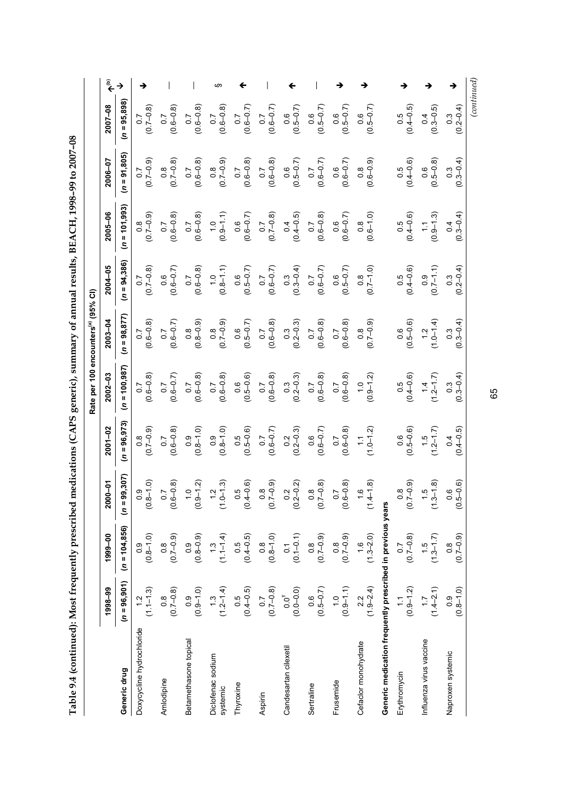| <b>CONNOY CONNOY THIS THE TIME</b><br>Ī,<br>;<br>)<br>Ï<br>֖֚֚֚֚֚֬֕֕֓֕֬<br>֖֖֖֖֖֖֖֧֪֪֪֪֪֪֪֪֪֪֪֪֪֪֪֪ׅ֖֚֚֚֚֚֚֚֚֚֚֚֚֚֚֚֚֚֚֚֚֚֚֚֚֚֬֝֝֓֞֝֓֞֝֓ |  |
|------------------------------------------------------------------------------------------------------------------------------------------|--|
| こうちょう せん しきょくりょう                                                                                                                         |  |
| $\frac{1}{2}$                                                                                                                            |  |
| l<br>ļ                                                                                                                                   |  |
|                                                                                                                                          |  |

|                                                            |                         |                                |                                                      |                       | Rate per 100 encounters(a) (95% CI)               |                                                   |                                                                                        |                         |                                                   |                         |     |
|------------------------------------------------------------|-------------------------|--------------------------------|------------------------------------------------------|-----------------------|---------------------------------------------------|---------------------------------------------------|----------------------------------------------------------------------------------------|-------------------------|---------------------------------------------------|-------------------------|-----|
|                                                            | 1998-99                 | 1999-00                        | $-01$<br>200                                         | $2001 - 02$           | $2002 - 03$                                       | $2003 - 04$                                       | 2004-05                                                                                | 2005-06                 | 2006-07                                           | 2007-08                 | مٌ﴾ |
| Generic drug                                               | $(n = 96, 901)$         | $(n = 104, 856)$               | $(n = 99, 307)$                                      | $= 96, 973$<br>S      | $(n = 100, 987)$                                  | $(n = 98, 877)$                                   | $(n = 94,386)$                                                                         | $(n = 101,993)$         | $(n = 91,805)$                                    | $(n = 95,898)$          |     |
| Doxycycline hydrochloride                                  | $(1.1 - 1.3)$           | $(0.8 - 1.0)$                  | $0.9$<br>$-1.0$<br>(0.8)                             | $(6.0 - 7.0)$         | $(0.6 - 0.8)$                                     | $(0.6 - 0.8)$                                     | $(0.7 - 0.8)$                                                                          | $(6.0 - 7.0)$           | $(6.0 - 7.0)$                                     | $(0.7 - 0.8)$           |     |
| Amlodipine                                                 | $(0.7 - 0.8)$           | $(0.7 - 0.9)$                  | $0.7$<br>$5 - 0.8$<br>0.6                            | $(0.6 - 0.8)$         | $(0.6 - 0.7)$                                     | $(0.6 - 0.7)$                                     | $(0.6 - 0.7)$                                                                          | $(0.6 - 0.8)$           | $(0.7 - 0.8)$                                     | $(0.6 - 0.8)$           |     |
| Betamethasone topical                                      | $(0.9 - 1.0)$           | $(0.8 - 0.9)$                  | $\frac{1}{2}$ 0 $\frac{2}{1}$<br>$\frac{6}{2}$       | $(0.8 - 1.0)$         | $(0.6 - 0.8)$                                     | $(0.8 - 0.9)$                                     | $(0.6 - 0.8)$                                                                          | $(0.6 - 0.8)$           | $(0.6 - 0.8)$                                     | $(0.6 - 0.8)$           |     |
| Diclofenac sodium<br>systemic                              | $(1.3$<br>$(1.2-1.4)$   | $(1.1 - 1.4)$                  | $\frac{12}{11}$ 3)<br>$\frac{1}{2}$                  | $(0.8 - 1.0)$         | $(0.6 - 0.8)$                                     | $(6.0 - 7.0)$                                     | $(0.8-1.1)$                                                                            | $(0.9 - 1.1)$           | $(6.0 - 2.0)$                                     | $(0.6 - 0.8)$           |     |
| Thyroxine                                                  | $(0.5$<br>$(0.4 - 0.5)$ | $0.5$<br>$(0.4 - 0.5)$         | $0.5$<br>$+0.6$ )<br>$\overline{0}$ .4               | $0.5$<br>(0.5–0.6)    | $(0.5 - 0.6)$                                     | $(0.5 - 0.7)$                                     | $(0.5 - 0.7)$                                                                          | $(0.6 - 0.7)$           | $(0.6 - 0.8)$                                     | $(0.6 - 0.7)$           |     |
| Aspirin                                                    | $(6.7 - 0.8)$           | $(0.8 - 1.0)$                  | $0.8$<br>7-0.9)<br>$\frac{1}{2}$                     | $(0.6 - 0.7)$         | $0.7$<br>(0.6–0.8)                                | $(0.6 - 0.8)$                                     | $(0.6 - 0.7)$                                                                          | $(0.7 - 0.8)$           | $(0.6 - 0.8)$                                     | $(0.6 - 0.7)$           |     |
| Candesartan cilexetil                                      | $0.0^{T}$<br>(0.0–0.0)  | $0.1$<br>(0.1-0.1)             | 2, 2, 2<br>(0.2)                                     | $0.2$<br>(0.2–0.3)    | $\begin{array}{c} 0.3 \\ (0.2 - 0.3) \end{array}$ | $\begin{array}{c} 0.3 \\ (0.2 - 0.3) \end{array}$ | $0.3$<br>(0.3–0.4)                                                                     | $(0.4 - 0.5)$           | $(0.5 - 0.7)$                                     | $(0.5 - 0.7)$           |     |
| Sertraline                                                 | $(0.5 - 0.7)$           | $(0.7 - 0.9)$                  | $0.8$<br>$7 - 0.8$<br>(0.7)                          | $(0.6 - 0.7)$         | $(0.6 - 0.8)$                                     |                                                   |                                                                                        | $(0.6 - 0.8)$           | $(0.6 - 0.7)$                                     | $(0.5 - 0.7)$           |     |
| Frusemide                                                  | $(0.9 - 1.1)$           | $(0.7 - 0.9)$                  | $0.7$<br>$6 - 0.8$<br>0.6                            | $(0.6 - 0.8)$         | $(0.6 - 0.8)$                                     | $(0.6-0.8)$<br>$(0.6-0.8)$<br>$(0.6-0.8)$         | $\begin{array}{c} 0.7 \\ (0.6{\rm -}0.7) \\ 0.6 \\ 0.6 \\ (0.5{\rm -}0.7) \end{array}$ | $(0.6 - 0.7)$           | $(0.6 - 0.7)$                                     | $(0.5 - 0.7)$           |     |
| Cefaclor monohydrate                                       | $(1.9-2.4)$             | $(1.3 - 2.0)$                  | $\begin{array}{c} 1.6 \\ + 1.8 \end{array}$<br>(1.4) | $(1.0 - 1.2)$         | $(0.9-1.2)$                                       | $(6.0 - 2.0)$                                     | $(0.7 - 1.0)$                                                                          | $(0.6 - 1.0)$           | $(0.8$<br>$(0.6 - 0.9)$                           | $(0.5 - 0.7)$           |     |
| Generic medication frequently prescribed in previous years |                         |                                |                                                      |                       |                                                   |                                                   |                                                                                        |                         |                                                   |                         |     |
| Erythromycin                                               | $(0.9 - 1.2)$           | $(0.7 - 0.8)$                  | $0.8$<br>7-0.9)<br>$\frac{2}{9}$                     | $(0.5 - 0.6)$         | $(0.5$<br>$(0.4 - 0.6)$                           | $(0.5 - 0.6)$                                     | $\begin{array}{c} 0.5 \\ (0.4 - 0.6) \end{array}$                                      | $(0.5$<br>$(0.4 - 0.6)$ | $\begin{array}{c} 0.5 \\ (0.4 - 0.6) \end{array}$ | $(0.5$<br>$(0.4 - 0.5)$ |     |
| Influenza virus vaccine                                    | $(1.7$<br>(1.4–2.1)     | $(1.3-1.7)$                    | $\frac{6}{1.5}$<br>$\frac{3}{2}$                     | $(1.5$<br>$(1.2-1.7)$ | $(1.2 - 1.7)$                                     | $(1.0-1.4)$                                       | $(0.7-1.1)$                                                                            | $(0.9 - 1.3)$           | $(0.5 - 0.8)$                                     | $(0.3 - 0.5)$           |     |
| Naproxen systemic                                          | $(0.8 - 1.0)$           | $(0.7 - 0.9)$<br>$\frac{8}{2}$ | $0.6$<br>5-0.6)<br>6.5                               | $(0.4 - 0.5)$         | $(0.3-0.4)$                                       | $(0.3 - 0.4)$                                     | $0.3$<br>$(0.2 - 0.4)$                                                                 | $0.3 - 0.4$<br>0.4      | $0.3$<br>$(0.3-0.4)$                              | $(0.3$<br>(0.2–0.4)     |     |
|                                                            |                         |                                |                                                      |                       |                                                   |                                                   |                                                                                        |                         |                                                   | (continued)             |     |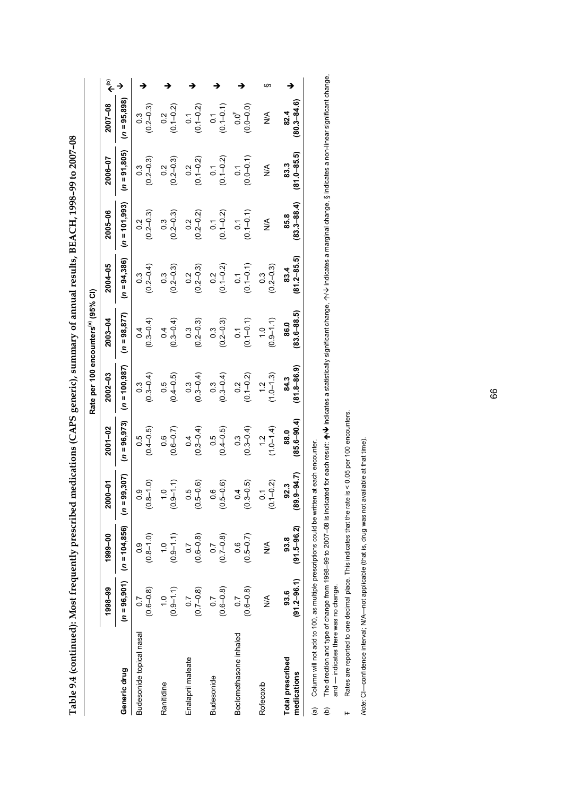|                                        |                                   |                                    |                                 |                                | Rate per 100 encounters <sup>(a)</sup> (95% CI) |                                   |                                   |                                   |                                 |                                   |   |
|----------------------------------------|-----------------------------------|------------------------------------|---------------------------------|--------------------------------|-------------------------------------------------|-----------------------------------|-----------------------------------|-----------------------------------|---------------------------------|-----------------------------------|---|
|                                        | 1998-99                           | 1999-00                            | ნ<br>10–00<br>ຸລ                | $2001 - 02$                    | 2002-03                                         | $2003 - 04$                       | 2004-05                           | 2005-06                           | 2006-07                         | 2007-08                           |   |
| Generic drug                           | $(n = 96, 901)$                   | $(n = 104, 856)$                   | 99,307)<br>$\bar{z}$            | $(n = 96.973)$                 | $(n = 100, 987)$                                | 98,877<br>$\frac{1}{2}$           | $(n = 94, 386)$                   | $(n = 101, 993)$                  | 91,805)<br>$\frac{1}{2}$        | $(n = 95, 898)$                   |   |
| Budesonide topical nasal               | $(0.6 - 0.8)$<br>0.7              | $(0.8 - 1.0)$<br>$\frac{0}{2}$     | $8 - 1.0$<br>0.0<br>S           | $(0.4 - 0.5)$<br>0.5           | $0.3 - 0.4$<br>C.S                              | $(0.3 - 0.4)$<br>$\frac{4}{1}$    | $(0.2 - 0.4)$<br>$\frac{3}{2}$    | $(0.2 - 0.3)$<br>0.2              | $(0.2 - 0.3)$<br>C.O            | $(0.2 - 0.3)$<br>$\frac{3}{2}$    |   |
| Ranitidine                             | $(0.9 - 1.1)$<br>$\frac{10}{10}$  | $(0.9 - 1.1)$<br>$\frac{0}{1}$     | $-6$<br>ë                       | $(0.6 - 0.7)$<br>0.6           | $(0.4 - 0.5)$<br>0.5                            | $(0.3 - 0.4)$<br>0.4              | $(0.2 - 0.3)$<br>$0.\overline{3}$ | $(0.2 - 0.3)$<br>$\frac{3}{2}$    | $(0.2 - 0.3)$<br>0.2            | $(0.1 - 0.2)$<br>0.2              |   |
| Enalapril maleate                      | $(0.7 - 0.8)$<br>$\overline{0.7}$ | $(0.6 - 0.8)$<br>$\overline{0}$ .7 | $5 - 0.6$<br>0.5<br>ë           | $(0.3 - 0.4)$<br>0.4           | $(0.3 - 0.4)$<br>$0.\overline{3}$               | $(0.2 - 0.3)$<br>$0.\overline{3}$ | $(0.2 - 0.3)$<br>0.2              | $(0.2 - 0.2)$<br>0.2              | $(0.1 - 0.2)$<br>0.2            | $(0.1 - 0.2)$<br>$\overline{0}$ . |   |
| <b>Budesonide</b>                      | $(0.6 - 0.8)$<br>$\overline{0.7}$ | $(0.7 - 0.8)$<br>$\overline{0}$ .7 | $5 - 0.6$<br>o.o<br>ē,          | $(0.4 - 0.5)$<br>0.5           | $(0.3 - 0.4)$<br>$0.\overline{3}$               | $(0.2 - 0.3)$<br>$0.\overline{3}$ | $0.2$<br>(0.1-0.2)                | $(0.1 - 0.2)$<br>$\overline{0}$ . | $(0.1 - 0.2)$<br>$\overline{c}$ | $(0.1 - 0.1)$<br>$\overline{0}$   |   |
| Beclomethasone inhaled                 | $(0.6 - 0.8)$<br>$\overline{C}$   | $(0.5 - 0.7)$<br>0.6               | $3 - 0.5$<br>$\frac{4}{1}$<br>S | $(0.3 - 0.4)$<br>$\frac{3}{2}$ | $(0.1 - 0.2)$<br>0.2                            | $(0.1 - 0.1)$<br>$\overline{0}$ . | $(0.1 - 0.1)$<br>$\overline{c}$   | $(0.1 - 0.1)$<br>$\overline{0}$   | $0.0 - 0.1$<br>$\overline{c}$   | $(0.0 - 0.0)$<br>$0.0^{\dagger}$  |   |
| Rofecoxib                              | $\frac{8}{2}$                     | $\frac{8}{2}$                      | $(-0.2)$<br>្ដ<br>S             | $(1.0 - 1.4)$<br>$\frac{1}{2}$ | $(1.0 - 1.3)$<br>$\frac{2}{1}$                  | $(0.9 - 1.1)$<br>$\frac{0}{1}$    | $(0.2 - 0.3)$<br>$\frac{3}{2}$    | ⋚                                 | ⋚                               | ⋚                                 | m |
| <b>Total prescribed</b><br>medications | $(91.2 - 96.1)$<br>93.6           | $(91.5 - 96.2)$<br>93.8            | $9 - 94.7$<br>92.3<br><u>89</u> | $(85.6 - 90.4)$<br>88.0        | $81.8 - 86.9$<br>84.3                           | $83.6 - 88.5$<br>86.0             | $(81.2 - 85.5)$<br>83.4           | $(83.3 - 88.4)$<br>85.8           | $(81.0 - 85.5)$<br>83.3         | $80.3 - 84.6$<br>82.4             |   |

Table 9.4 (continued): Most frequently prescribed medications (CAPS generic), summary of annual results, BEACH, 1998-99 to 2007-08 **Table 9.4 (continued): Most frequently prescribed medications (CAPS generic), summary of annual results, BEACH, 1998–99 to 2007–08** 

Column will not add to 100, as multiple prescriptions could be written at each encounter. (a) Column will not add to 100, as multiple prescriptions could be written at each encounter.  $\widehat{\mathfrak{a}}$ 

The direction and type of change from 1996–99 to 2007–08 is indicated for each result: ★/♦ indicates a statistically significant change, 个/♦ indicates a marginal change, § indicates a non-linear significant change,<br>and —  $\bm{\mathcal{W}}$  indicates a statistically significant change,  $\bm{\gamma} \bm{\mathcal{N}}$  indicates a marginal change, § indicates a non-linear significant change, (b) The direction and type of change from 1998–99 to 2007–08 is indicated for each result:  $\spadesuit$ and — indicates there was no change.  $\widehat{e}$ 

Rates are reported to one decimal place. This indicates that the rate is < 0.05 per 100 encounters. Rates are reported to one decimal place. This indicates that the rate is < 0.05 per 100 encounters. -

Note: CI-confidence interval; N/A-not applicable (that is, drug was not available at that time). *Note:* CI—confidence interval; N/A—not applicable (that is, drug was not available at that time).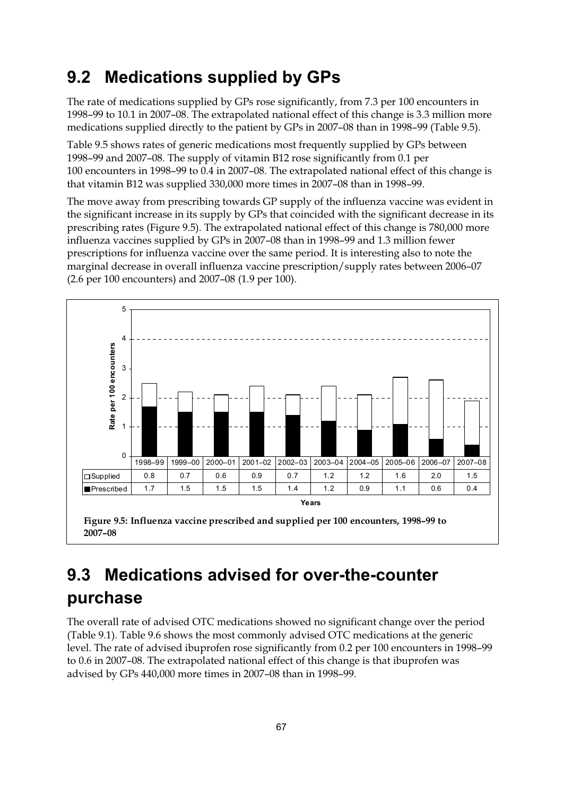### **9.2 Medications supplied by GPs**

The rate of medications supplied by GPs rose significantly, from 7.3 per 100 encounters in 1998–99 to 10.1 in 2007–08. The extrapolated national effect of this change is 3.3 million more medications supplied directly to the patient by GPs in 2007–08 than in 1998–99 (Table 9.5).

Table 9.5 shows rates of generic medications most frequently supplied by GPs between 1998–99 and 2007–08. The supply of vitamin B12 rose significantly from 0.1 per 100 encounters in 1998–99 to 0.4 in 2007–08. The extrapolated national effect of this change is that vitamin B12 was supplied 330,000 more times in 2007–08 than in 1998–99.

The move away from prescribing towards GP supply of the influenza vaccine was evident in the significant increase in its supply by GPs that coincided with the significant decrease in its prescribing rates (Figure 9.5). The extrapolated national effect of this change is 780,000 more influenza vaccines supplied by GPs in 2007–08 than in 1998–99 and 1.3 million fewer prescriptions for influenza vaccine over the same period. It is interesting also to note the marginal decrease in overall influenza vaccine prescription/supply rates between 2006–07 (2.6 per 100 encounters) and 2007–08 (1.9 per 100).



## **9.3 Medications advised for over-the-counter purchase**

The overall rate of advised OTC medications showed no significant change over the period (Table 9.1). Table 9.6 shows the most commonly advised OTC medications at the generic level. The rate of advised ibuprofen rose significantly from 0.2 per 100 encounters in 1998–99 to 0.6 in 2007–08. The extrapolated national effect of this change is that ibuprofen was advised by GPs 440,000 more times in 2007–08 than in 1998–99.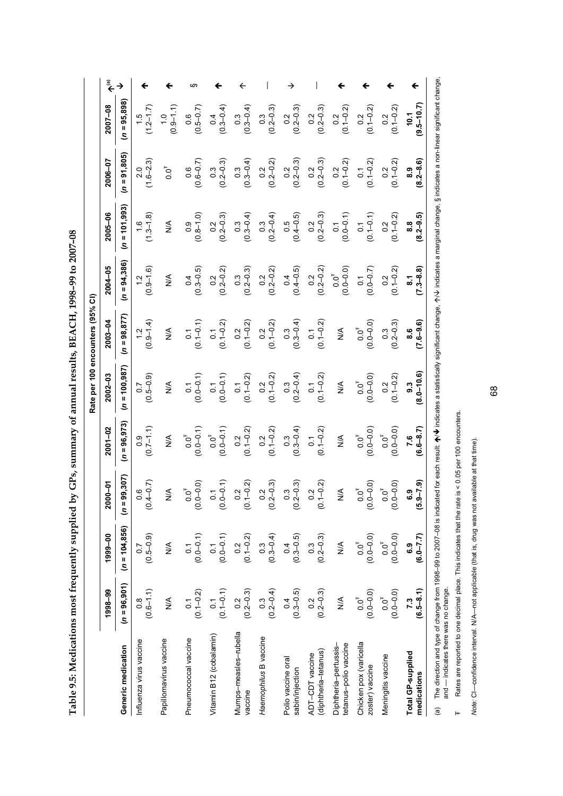| <b>CONNECT SECTION FOR</b>                                                                                             |
|------------------------------------------------------------------------------------------------------------------------|
| ĺ                                                                                                                      |
| )<br>、                                                                                                                 |
| i                                                                                                                      |
|                                                                                                                        |
| i                                                                                                                      |
|                                                                                                                        |
|                                                                                                                        |
|                                                                                                                        |
|                                                                                                                        |
|                                                                                                                        |
|                                                                                                                        |
| .<br>.                                                                                                                 |
| <b>The Contract Contract Contract Contract Contract Contract Contract Contract Contract Contract Contract Contract</b> |
|                                                                                                                        |
|                                                                                                                        |
| ļ                                                                                                                      |
| $\frac{1}{3}$                                                                                                          |
| ֖֚֓                                                                                                                    |
|                                                                                                                        |
| ו<br>ו                                                                                                                 |
| こうしゅうしゅしょう                                                                                                             |
| l                                                                                                                      |
|                                                                                                                        |
|                                                                                                                        |
|                                                                                                                        |
|                                                                                                                        |
| くうしょう こうしょう<br>ś<br>֖֖֖֖֖֖֖֖֧ׅׅ֪ׅ֖֧ׅ֪ׅ֖ׅ֪֪֪ׅ֖֧֪ׅ֖֧ׅ֧֪ׅ֪֪֪֧֪֪֪֪֪֪֧֪ׅ֧֪ׅ֧֪ׅ֧֪ׅ֧֚֚֚֚֚֚֚֚֚֚֚֚֚֚֚֚֚֚֚֚֚֚֚֚֚֚֚֚֬֝֝֝֬֓֞       |
| Ξ<br>֖֖֪ׅ֪֪ׅ֦֪֪ׅ֚֚֚֚֚֚֚֚֚֚֚֚֚֚֚֚֚֚֚֚֡֝֝֝֝֝֝֝֝֝֝֝֝֬֝<br>ׇ֚֘֝֬<br>l                                                      |
| İ<br>I                                                                                                                 |
| j<br>$\frac{1}{3}$<br>I<br>ť                                                                                           |

| $\overline{0}$ .<br>8.9 | →<br>→<br>$(n = 95,898)$<br>$(0.3 - 0.4)$<br>$(0.3)$<br>$(0.2-0.3)$<br>$\begin{array}{c} 0.2 \\ (0.2 - 0.3) \end{array}$<br>$0.2$<br>$(0.1 - 0.2)$<br>$(1.5$<br>$(1.2-1.7)$<br>$(0.5 - 0.7)$<br>$(0.3-0.4)$<br>$0.2$<br>(0.2–0.3)<br>$(0.9 - 1.1)$<br>$\frac{0}{1}$<br>$(n = 91,805)$<br>$(1.6 - 2.3)$<br>$(0.2 - 0.3)$<br>$\frac{0.2}{(0.2 - 0.2)}$<br>$0.2$<br>(0.2–0.3)<br>$0.2$<br>(0.1-0.2)<br>$(0.6 - 0.7)$<br>$(0.3 - 0.4)$<br>$0.2$<br>$(0.2 - 0.3)$<br>$0.0^{+}$<br>$0.\overline{3}$<br>$0.\overline{3}$ |  |  |  |                                                     |                                                |                                                | $(0.1 - 0.2)$<br>0.2<br>$(0.1 - 0.2)$                                  | $0.2$<br>(0.1–0.2)<br>$(0.1 - 0.2)$<br>0.2        | $9.5 - 10.7$<br>10.1<br>$(8.2 - 8.6)$ |  |
|-------------------------|-------------------------------------------------------------------------------------------------------------------------------------------------------------------------------------------------------------------------------------------------------------------------------------------------------------------------------------------------------------------------------------------------------------------------------------------------------------------------------------------------------------------|--|--|--|-----------------------------------------------------|------------------------------------------------|------------------------------------------------|------------------------------------------------------------------------|---------------------------------------------------|---------------------------------------|--|
|                         | $(n = 101,993)$<br>$\begin{array}{c} 0.2 \\ 0.2 - 0.3 \end{array}$<br>$(1.3 - 1.8)$<br>$(0.2 - 0.4)$<br>$(0.4 - 0.5)$<br>$(0.8 - 1.0)$<br>$0.3$<br>(0.3–0.4)<br>$\stackrel{\leq}{\geq}$<br>$(n = 94, 386)$<br>$(0.2 - 0.3)$<br>$0.2$<br>(0.2–0.2)<br>$(0.4 - 0.5)$<br>$(0.9 - 1.6)$<br>$0.2$<br>(0.2–0.2)<br>$(0.3 - 0.5)$<br>$0.\overline{3}$<br>$\frac{1}{2}$<br>0.4<br>0.4                                                                                                                                     |  |  |  |                                                     | $0.2$<br>$(0.2 - 0.3)$<br>$(0.2 - 0.2)$<br>0.2 | $(0.0 - 0.1)$<br>$0.0^{T}$<br>(0.0–0.0)        | $(0.1 - 0.1)$<br>$\overline{0}$ :<br>$(0.0 - 0.7)$<br>$\overline{0}$ . | $0.2$<br>(0.1-0.2)<br>$(0.1 - 0.2)$<br>0.2        | $(8.2 - 9.5)$<br>$(7.3 - 8.8)$<br>្ល  |  |
|                         | $(n = 98, 877)$<br>$(0.9 - 1.4)$<br>$0.2$<br>$(0.1 - 0.2)$<br>$0.1$<br>(0.1-0.2)<br>$0.2$<br>(0.1-0.2)<br>$(0.1 - 0.1)$<br>$\stackrel{\leq}{\geq}$<br>$\frac{2}{1}$<br>$\overline{0}$ .                                                                                                                                                                                                                                                                                                                           |  |  |  | $(0.3-0.4)$                                         | $(0.1 - 0.2)$<br>$\overline{0}$ .              | ⋚                                              | $(0.0 - 0.0)$<br>$0.0^{*}$                                             | $\begin{array}{c} 0.3 \\ (0.2 - 0.3) \end{array}$ | $(7.6 - 9.6)$<br>8.6                  |  |
|                         | $(n = 100, 987)$<br>$(0.5 - 0.9)$<br>$0.1$<br>(0.1-0.2)<br>$0.2$<br>(0.1-0.2)<br>$(0.0 - 0.1)$<br>$(0.0 - 0.1)$<br>$\frac{4}{2}$<br>$\overline{0}$<br>$\overline{0}$ .<br>$\overline{c}$                                                                                                                                                                                                                                                                                                                          |  |  |  | $0.3$<br>(0.2–0.4)                                  | $0.1$<br>(0.1–0.2)                             | $\stackrel{\triangleleft}{\geq}$               | $(0.0 - 0.0)$<br>$0.0^{\dagger}$                                       | $(0.1 - 0.2)$<br>0.2                              | $8.0 - 10.6$<br>9.3                   |  |
|                         | $(n = 96, 973)$<br>$(0.7-1.1)$<br>$0.2$<br>$(0.1 - 0.2)$<br>$(0.0 - 0.1)$<br>$0.2$<br>(0.1-0.2)<br>$0.0^{T}$<br>(0.0–0.1)<br>$0.0^{\dagger}$<br>$\frac{4}{2}$                                                                                                                                                                                                                                                                                                                                                     |  |  |  | $(0.3 - 0.4)$                                       | $0.1$<br>(0.1-0.2)                             | ⋚                                              | $(0.0 - 0.0)$<br>$0.0^{+}$                                             | $(0.0 - 0.0)$<br>$0.0^{\dagger}$                  | $7.6$<br>(6.6–8.7)                    |  |
|                         | 99,307)<br>$0.2$<br>$-0.3$<br>$0.2$<br>$(-0.2)$<br>$4 - 0.7$<br>$.0 - 0.0)$<br>$0 - 0.1$<br>$0.0^{\dagger}$<br>$\frac{4}{2}$<br>0.6<br>$\overline{0}$<br>$\bar{a}$<br>Q.<br>ë<br>Ō.<br><u>୍</u><br>Ō.                                                                                                                                                                                                                                                                                                             |  |  |  | $\begin{array}{c} 0.3 \\ 2 - 0.3 \end{array}$<br>ē, | $0.2$<br>$(-0.2)$<br>ë                         | $\frac{4}{2}$                                  | $0 - 0.0$<br>$0.0^{\dagger}$<br><u>୍</u>                               | $0 - 0.0$<br>$0.0^{\rm \texttt{f}}$<br>Ō.         | $9 - 7.9$<br>6.9<br>r.                |  |
|                         | $(n = 104, 856)$<br>$(0.5-0.9)$<br>$(0.0-0.1)$<br>$(0.0 - 0.1)$<br>$(0.3 - 0.4)$<br>$0.2$<br>(0.1–0.2)<br>$\stackrel{\leq}{\geq}$                                                                                                                                                                                                                                                                                                                                                                                 |  |  |  | $(0.3 - 0.5)$                                       | $(0.2 - 0.3)$<br>0.3                           | $\frac{\mathbb{X}}{\mathbb{X}}$                | $0.0^{T}$<br>(0.0–0.0)                                                 | $(0.0 - 0.0)$<br>$0.0^{\dagger}$                  | $(6.0 - 7.7)$<br>င့်၁                 |  |
|                         | $(n = 96, 901)$<br>$(0.6 - 1.1)$<br>$(0.1 - 0.1)$<br>$0.1$<br>$(0.1 - 0.2)$<br>$\begin{array}{c} 0.2 \\ 0.2 - 0.3 \end{array}$<br>$(0.3$<br>(0.2–0.4)<br>$\stackrel{\leq}{\geq}$<br>$\frac{8}{2}$<br>$\overline{0}$                                                                                                                                                                                                                                                                                               |  |  |  | $(0.3 - 0.5)$                                       | $(0.2 - 0.3)$<br>0.2                           | $\frac{4}{5}$                                  | $0.0^{T}$<br>(0.0–0.0)                                                 | $(0.0 - 0.0)$<br>$0.0^{\dagger}$                  | $(6.5 - 8.1)$<br>7.3                  |  |
|                         | Mumps-measles-rubella<br>Vitamin B12 (cobalamin)<br>Haemophilus B vaccine<br>Pneumococcal vaccine<br>Papillomavirus vaccine<br>nfluenza virus vaccine<br>Generic medication<br>vaccine                                                                                                                                                                                                                                                                                                                            |  |  |  | Polio vaccine oral<br>sabin/injection               | (diphtheria-tetanus)<br>ADT-CDT vaccine        | tetanus-polio vaccine<br>Diphtheria-pertussis- | Chicken pox (varicella<br>zoster) vaccine                              | Meningitis vaccine                                | Total GP-supplied<br>medications      |  |

(a) The direction and type of change from 1998–99 to 2007–08 is indicated for each result: ★/V indicates a statistically significant change, イ/V indicates a marginal change, § indicates a non-linear significant change,<br>a  $\bm{\psi}$  indicates a statistically significant change,  $\bm{\gamma} \bm{\nu}$  indicates a marginal change, § indicates a non-linear significant change, (a) The direction and type of change from 1998–99 to 2007–08 is indicated for each result:  $\spadesuit$ and — indicates there was no change.

Rates are reported to one decimal place. This indicates that the rate is < 0.05 per 100 encounters. Rates are reported to one decimal place. This indicates that the rate is < 0.05 per 100 encounters. -

Note: CI-confidence interval. N/A-not applicable (that is, drug was not available at that time). *Note:* CI—confidence interval. N/A—not applicable (that is, drug was not available at that time).